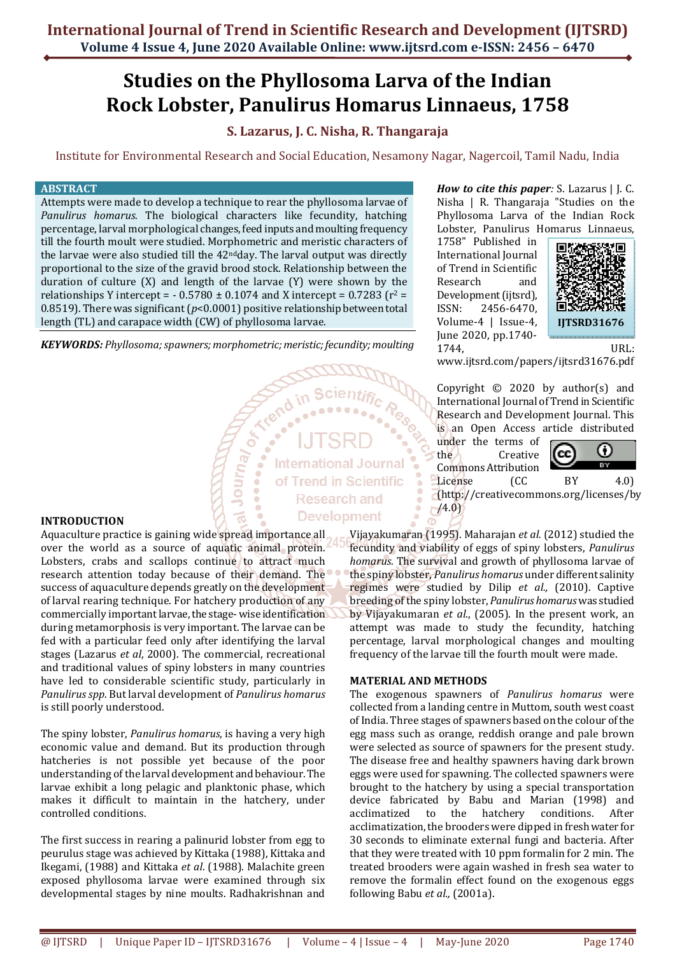## **Studies on the Phyllosoma Larva of the Indian Rock Lobster, Panulirus Homarus Linnaeus, 1758**

## **S. Lazarus, J. C. Nisha, R. Thangaraja**

Institute for Environmental Research and Social Education, Nesamony Nagar, Nagercoil, Tamil Nadu, India

**International Journal** 

#### **ABSTRACT**

Attempts were made to develop a technique to rear the phyllosoma larvae of *Panulirus homarus*. The biological characters like fecundity, hatching percentage, larval morphological changes, feed inputs and moulting frequency till the fourth moult were studied. Morphometric and meristic characters of the larvae were also studied till the  $42<sup>nd</sup>$ day. The larval output was directly proportional to the size of the gravid brood stock. Relationship between the duration of culture  $(X)$  and length of the larvae  $(Y)$  were shown by the relationships Y intercept =  $-0.5780 \pm 0.1074$  and X intercept = 0.7283 ( $r^2$  = 0.8519). There was significant (*p*<0.0001) positive relationship between total length (TL) and carapace width (CW) of phyllosoma larvae.

*KEYWORDS: Phyllosoma; spawners; morphometric; meristic; fecundity; moulting* 

# Journal of of Trend in Scientific **Research and Development**

**INTRODUCTION** 

Aquaculture practice is gaining wide spread importance all over the world as a source of aquatic animal protein. Lobsters, crabs and scallops continue to attract much research attention today because of their demand. The success of aquaculture depends greatly on the development of larval rearing technique. For hatchery production of any commercially important larvae, the stage- wise identification during metamorphosis is very important. The larvae can be fed with a particular feed only after identifying the larval stages (Lazarus *et al*, 2000). The commercial, recreational and traditional values of spiny lobsters in many countries have led to considerable scientific study, particularly in *Panulirus spp*. But larval development of *Panulirus homarus* is still poorly understood.

The spiny lobster, *Panulirus homarus*, is having a very high economic value and demand. But its production through hatcheries is not possible yet because of the poor understanding of the larval development and behaviour. The larvae exhibit a long pelagic and planktonic phase, which makes it difficult to maintain in the hatchery, under controlled conditions.

The first success in rearing a palinurid lobster from egg to peurulus stage was achieved by Kittaka (1988), Kittaka and Ikegami, (1988) and Kittaka *et al*. (1988). Malachite green exposed phyllosoma larvae were examined through six developmental stages by nine moults. Radhakrishnan and *How to cite this paper:* S. Lazarus | J. C. Nisha | R. Thangaraja "Studies on the Phyllosoma Larva of the Indian Rock Lobster, Panulirus Homarus Linnaeus,

1758" Published in International Journal of Trend in Scientific Research and Development (ijtsrd), ISSN: 2456-6470, Volume-4 | Issue-4, June 2020, pp.1740- 1744, URL:



www.ijtsrd.com/papers/ijtsrd31676.pdf

Copyright  $\odot$  2020 by author(s) and International Journal of Trend in Scientific Research and Development Journal. This is an Open Access article distributed

under the terms of the Creative Commons Attribution



License (CC BY 4.0) (http://creativecommons.org/licenses/by  $/4.0)$ 

Vijayakumaran (1995). Maharajan *et al.* (2012) studied the fecundity and viability of eggs of spiny lobsters, *Panulirus homarus.* The survival and growth of phyllosoma larvae of the spiny lobster, *Panulirus homarus* under different salinity regimes were studied by Dilip *et al.,* (2010). Captive breeding of the spiny lobster, *Panulirus homarus* was studied by Vijayakumaran *et al*., (2005). In the present work, an attempt was made to study the fecundity, hatching percentage, larval morphological changes and moulting frequency of the larvae till the fourth moult were made.

### **MATERIAL AND METHODS**

The exogenous spawners of *Panulirus homarus* were collected from a landing centre in Muttom, south west coast of India. Three stages of spawners based on the colour of the egg mass such as orange, reddish orange and pale brown were selected as source of spawners for the present study. The disease free and healthy spawners having dark brown eggs were used for spawning. The collected spawners were brought to the hatchery by using a special transportation device fabricated by Babu and Marian (1998) and acclimatized to the hatchery conditions. After acclimatization, the brooders were dipped in fresh water for 30 seconds to eliminate external fungi and bacteria. After that they were treated with 10 ppm formalin for 2 min. The treated brooders were again washed in fresh sea water to remove the formalin effect found on the exogenous eggs following Babu *et al.,* (2001a).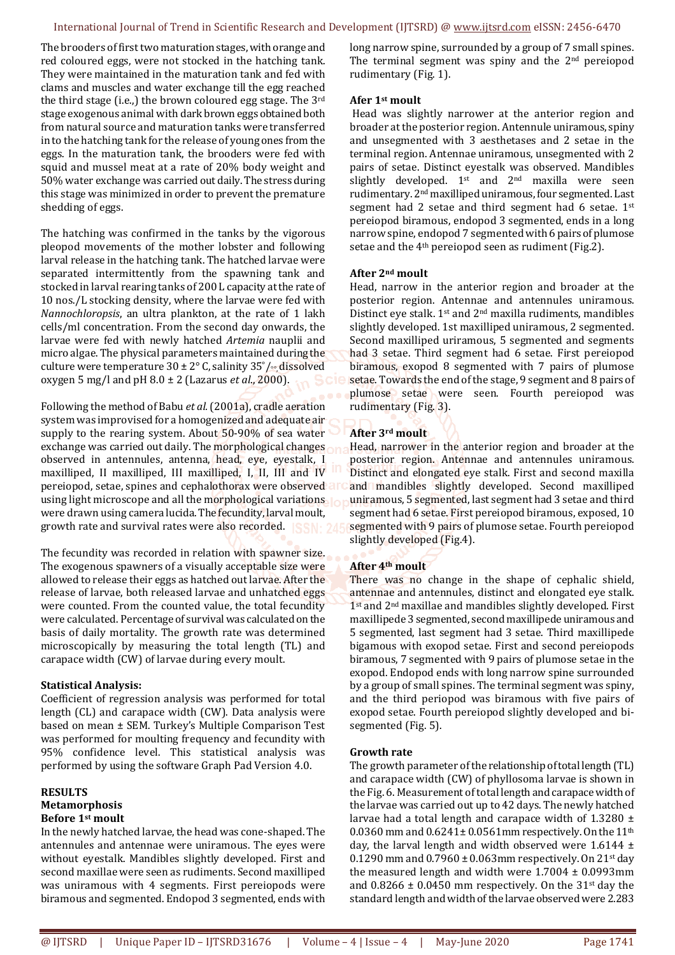The brooders of first two maturation stages, with orange and red coloured eggs, were not stocked in the hatching tank. They were maintained in the maturation tank and fed with clams and muscles and water exchange till the egg reached the third stage (i.e.,) the brown coloured egg stage. The 3rd stage exogenous animal with dark brown eggs obtained both from natural source and maturation tanks were transferred in to the hatching tank for the release of young ones from the eggs. In the maturation tank, the brooders were fed with squid and mussel meat at a rate of 20% body weight and 50% water exchange was carried out daily. The stress during this stage was minimized in order to prevent the premature shedding of eggs.

The hatching was confirmed in the tanks by the vigorous pleopod movements of the mother lobster and following larval release in the hatching tank. The hatched larvae were separated intermittently from the spawning tank and stocked in larval rearing tanks of 200 L capacity at the rate of 10 nos./L stocking density, where the larvae were fed with *Nannochloropsis*, an ultra plankton, at the rate of 1 lakh cells/ml concentration. From the second day onwards, the larvae were fed with newly hatched *Artemia* nauplii and micro algae. The physical parameters maintained during the culture were temperature  $30 \pm 2^{\circ}$  C, salinity  $35^{\circ}/\sim$  dissolved oxygen 5 mg/l and pH 8.0 ± 2 (Lazarus *et al*., 2000).

Following the method of Babu *et al.* (2001a), cradle aeration system was improvised for a homogenized and adequate air supply to the rearing system. About 50-90% of sea water exchange was carried out daily. The morphological changes observed in antennules, antenna, head, eye, eyestalk, I maxilliped, II maxilliped, III maxilliped, I, II, III and IV pereiopod, setae, spines and cephalothorax were observed at using light microscope and all the morphological variations. were drawn using camera lucida. The fecundity, larval moult, growth rate and survival rates were also recorded.

The fecundity was recorded in relation with spawner size. The exogenous spawners of a visually acceptable size were allowed to release their eggs as hatched out larvae. After the release of larvae, both released larvae and unhatched eggs were counted. From the counted value, the total fecundity were calculated. Percentage of survival was calculated on the basis of daily mortality. The growth rate was determined microscopically by measuring the total length (TL) and carapace width (CW) of larvae during every moult.

### **Statistical Analysis:**

Coefficient of regression analysis was performed for total length (CL) and carapace width (CW). Data analysis were based on mean ± SEM. Turkey's Multiple Comparison Test was performed for moulting frequency and fecundity with 95% confidence level. This statistical analysis was performed by using the software Graph Pad Version 4.0.

### **RESULTS**

#### **Metamorphosis Before 1st moult**

In the newly hatched larvae, the head was cone-shaped. The antennules and antennae were uniramous. The eyes were without eyestalk. Mandibles slightly developed. First and second maxillae were seen as rudiments. Second maxilliped was uniramous with 4 segments. First pereiopods were biramous and segmented. Endopod 3 segmented, ends with

long narrow spine, surrounded by a group of 7 small spines. The terminal segment was spiny and the 2<sup>nd</sup> pereiopod rudimentary (Fig. 1).

## **Afer 1st moult**

 Head was slightly narrower at the anterior region and broader at the posterior region. Antennule uniramous, spiny and unsegmented with 3 aesthetases and 2 setae in the terminal region. Antennae uniramous, unsegmented with 2 pairs of setae. Distinct eyestalk was observed. Mandibles slightly developed.  $1^{st}$  and  $2^{nd}$  maxilla were seen rudimentary. 2nd maxilliped uniramous, four segmented. Last segment had 2 setae and third segment had 6 setae. 1st pereiopod biramous, endopod 3 segmented, ends in a long narrow spine, endopod 7 segmented with 6 pairs of plumose setae and the  $4<sup>th</sup>$  pereiopod seen as rudiment (Fig.2).

## **After 2nd moult**

Head, narrow in the anterior region and broader at the posterior region. Antennae and antennules uniramous. Distinct eye stalk. 1st and 2nd maxilla rudiments, mandibles slightly developed. 1st maxilliped uniramous, 2 segmented. Second maxilliped uriramous, 5 segmented and segments had 3 setae. Third segment had 6 setae. First pereiopod biramous, exopod 8 segmented with 7 pairs of plumose setae. Towards the end of the stage, 9 segment and 8 pairs of plumose setae were seen. Fourth pereiopod was rudimentary (Fig. 3).

## **After 3rd moult**

Head, narrower in the anterior region and broader at the posterior region. Antennae and antennules uniramous. Distinct and elongated eye stalk. First and second maxilla and mandibles slightly developed. Second maxilliped uniramous, 5 segmented, last segment had 3 setae and third segment had 6 setae. First pereiopod biramous, exposed, 10 segmented with 9 pairs of plumose setae. Fourth pereiopod slightly developed (Fig.4).

## **After 4th moult**

There was no change in the shape of cephalic shield, antennae and antennules, distinct and elongated eye stalk. 1<sup>st</sup> and 2<sup>nd</sup> maxillae and mandibles slightly developed. First maxillipede 3 segmented, second maxillipede uniramous and 5 segmented, last segment had 3 setae. Third maxillipede bigamous with exopod setae. First and second pereiopods biramous, 7 segmented with 9 pairs of plumose setae in the exopod. Endopod ends with long narrow spine surrounded by a group of small spines. The terminal segment was spiny, and the third periopod was biramous with five pairs of exopod setae. Fourth pereiopod slightly developed and bisegmented (Fig. 5).

## **Growth rate**

The growth parameter of the relationship of total length (TL) and carapace width (CW) of phyllosoma larvae is shown in the Fig. 6. Measurement of total length and carapace width of the larvae was carried out up to 42 days. The newly hatched larvae had a total length and carapace width of 1.3280 ± 0.0360 mm and  $0.6241 \pm 0.0561$  mm respectively. On the  $11<sup>th</sup>$ day, the larval length and width observed were  $1.6144 \pm$ 0.1290 mm and  $0.7960 \pm 0.063$  mm respectively. On 21st day the measured length and width were  $1.7004 \pm 0.0993$ mm and  $0.8266 \pm 0.0450$  mm respectively. On the 31<sup>st</sup> day the standard length and width of the larvae observed were 2.283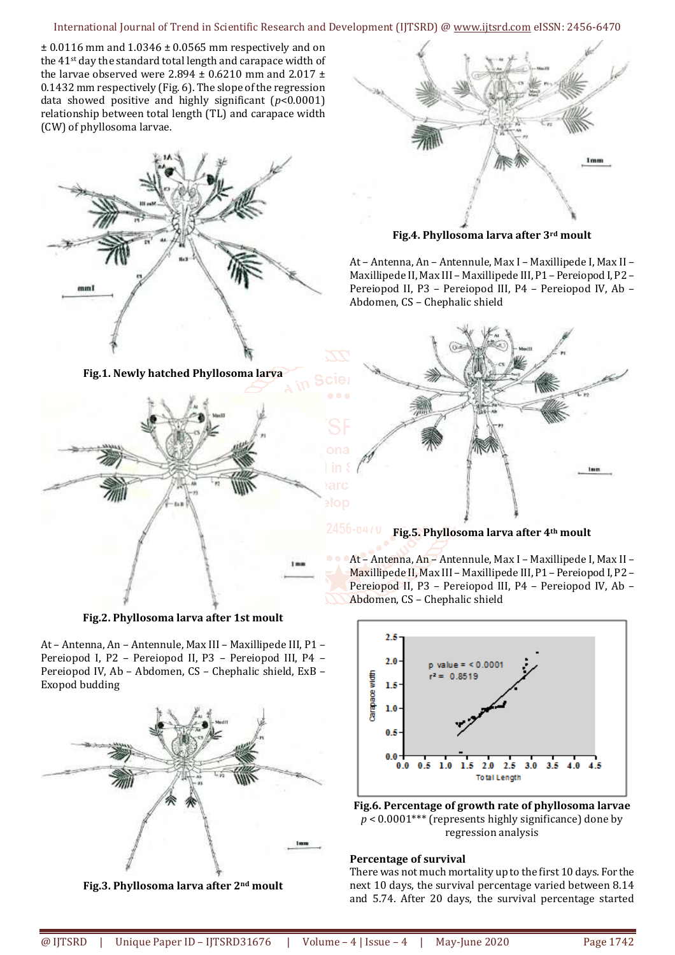### International Journal of Trend in Scientific Research and Development (IJTSRD) @ www.ijtsrd.com eISSN: 2456-6470

 $\pm$  0.0116 mm and 1.0346  $\pm$  0.0565 mm respectively and on the 41<sup>st</sup> day the standard total length and carapace width of the larvae observed were 2.894  $\pm$  0.6210 mm and 2.017  $\pm$ 0.1432 mm respectively (Fig. 6). The slope of the regression data showed positive and highly significant (*p*<0.0001) relationship between total length (TL) and carapace width (CW) of phyllosoma larvae.





**Fig.4. Phyllosoma larva after 3rd moult** 

At – Antenna, An – Antennule, Max I – Maxillipede I, Max II – Maxillipede II, Max III – Maxillipede III, P1 – Pereiopod I, P2 – Pereiopod II, P3 – Pereiopod III, P4 – Pereiopod IV, Ab – Abdomen, CS – Chephalic shield



## **Fig.5. Phyllosoma larva after 4th moult**

At – Antenna, An – Antennule, Max I – Maxillipede I, Max II – Maxillipede II, Max III – Maxillipede III, P1 – Pereiopod I, P2 – Pereiopod II, P3 – Pereiopod III, P4 – Pereiopod IV, Ab – Abdomen, CS – Chephalic shield



**Fig.6. Percentage of growth rate of phyllosoma larvae**   $p < 0.0001$ <sup>\*\*\*</sup> (represents highly significance) done by regression analysis

#### **Percentage of survival**

There was not much mortality up to the first 10 days. For the next 10 days, the survival percentage varied between 8.14 and 5.74. After 20 days, the survival percentage started





**Fig.2. Phyllosoma larva after 1st moult** 

At – Antenna, An – Antennule, Max III – Maxillipede III, P1 – Pereiopod I, P2 – Pereiopod II, P3 – Pereiopod III, P4 – Pereiopod IV, Ab – Abdomen, CS – Chephalic shield, ExB – Exopod budding



**Fig.3. Phyllosoma larva after 2nd moult**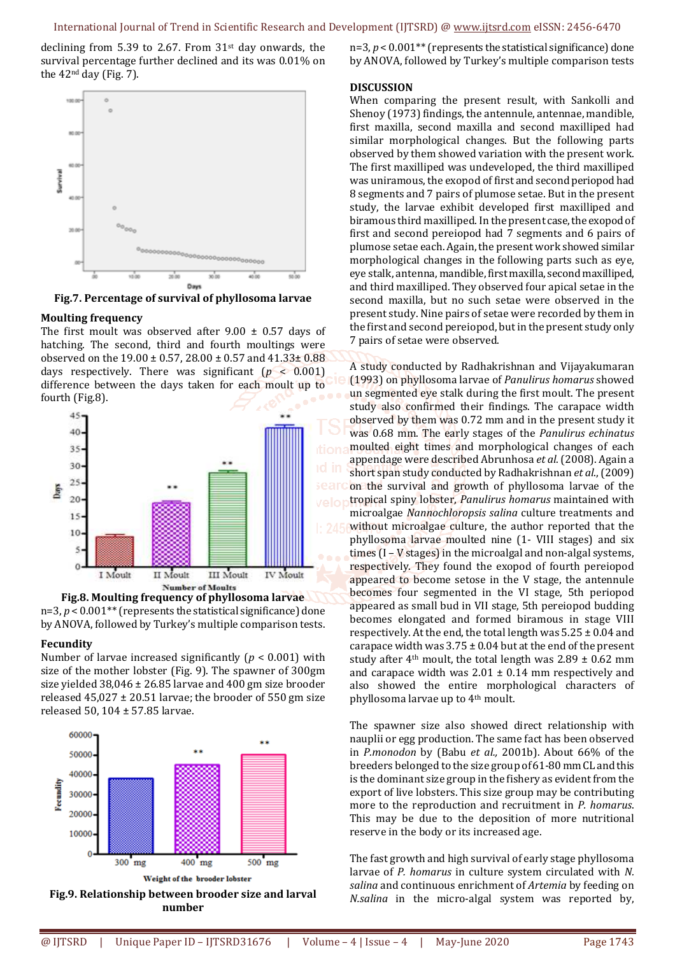declining from 5.39 to 2.67. From  $31<sup>st</sup>$  day onwards, the survival percentage further declined and its was 0.01% on the 42nd day (Fig. 7).



**Fig.7. Percentage of survival of phyllosoma larvae** 

#### **Moulting frequency**

The first moult was observed after  $9.00 \pm 0.57$  days of hatching. The second, third and fourth moultings were observed on the  $19.00 \pm 0.57$ ,  $28.00 \pm 0.57$  and  $41.33 \pm 0.88$ days respectively. There was significant (*p* < 0.001) difference between the days taken for each moult up to fourth (Fig.8).





#### **Fecundity**

Number of larvae increased significantly (*p* < 0.001) with size of the mother lobster (Fig. 9). The spawner of 300gm size yielded 38,046 ± 26.85 larvae and 400 gm size brooder released  $45,027 \pm 20.51$  larvae; the brooder of 550 gm size released 50, 104 ± 57.85 larvae.



n=3, *p* < 0.001\*\* (represents the statistical significance) done by ANOVA, followed by Turkey's multiple comparison tests

#### **DISCUSSION**

When comparing the present result, with Sankolli and Shenoy (1973) findings, the antennule, antennae, mandible, first maxilla, second maxilla and second maxilliped had similar morphological changes. But the following parts observed by them showed variation with the present work. The first maxilliped was undeveloped, the third maxilliped was uniramous, the exopod of first and second periopod had 8 segments and 7 pairs of plumose setae. But in the present study, the larvae exhibit developed first maxilliped and biramous third maxilliped. In the present case, the exopod of first and second pereiopod had 7 segments and 6 pairs of plumose setae each. Again, the present work showed similar morphological changes in the following parts such as eye, eye stalk, antenna, mandible, first maxilla, second maxilliped, and third maxilliped. They observed four apical setae in the second maxilla, but no such setae were observed in the present study. Nine pairs of setae were recorded by them in the first and second pereiopod, but in the present study only 7 pairs of setae were observed.

A study conducted by Radhakrishnan and Vijayakumaran (1993) on phyllosoma larvae of *Panulirus homarus* showed un segmented eye stalk during the first moult. The present study also confirmed their findings. The carapace width observed by them was 0.72 mm and in the present study it was 0.68 mm. The early stages of the *Panulirus echinatus* moulted eight times and morphological changes of each appendage were described Abrunhosa *et al*. (2008). Again a short span study conducted by Radhakrishnan *et al*., (2009) on the survival and growth of phyllosoma larvae of the tropical spiny lobster, *Panulirus homarus* maintained with microalgae *Nannochloropsis salina* culture treatments and without microalgae culture, the author reported that the phyllosoma larvae moulted nine (1- VIII stages) and six times (I – V stages) in the microalgal and non-algal systems, respectively. They found the exopod of fourth pereiopod appeared to become setose in the V stage, the antennule becomes four segmented in the VI stage, 5th periopod appeared as small bud in VII stage, 5th pereiopod budding becomes elongated and formed biramous in stage VIII respectively. At the end, the total length was  $5.25 \pm 0.04$  and carapace width was  $3.75 \pm 0.04$  but at the end of the present study after 4<sup>th</sup> moult, the total length was  $2.89 \pm 0.62$  mm and carapace width was  $2.01 \pm 0.14$  mm respectively and also showed the entire morphological characters of phyllosoma larvae up to 4th moult.

The spawner size also showed direct relationship with nauplii or egg production. The same fact has been observed in *P.monodon* by (Babu *et al.,* 2001b). About 66% of the breeders belonged to the size group of 61-80 mm CL and this is the dominant size group in the fishery as evident from the export of live lobsters. This size group may be contributing more to the reproduction and recruitment in *P. homarus*. This may be due to the deposition of more nutritional reserve in the body or its increased age.

The fast growth and high survival of early stage phyllosoma larvae of *P. homarus* in culture system circulated with *N. salina* and continuous enrichment of *Artemia* by feeding on *N.salina* in the micro-algal system was reported by,